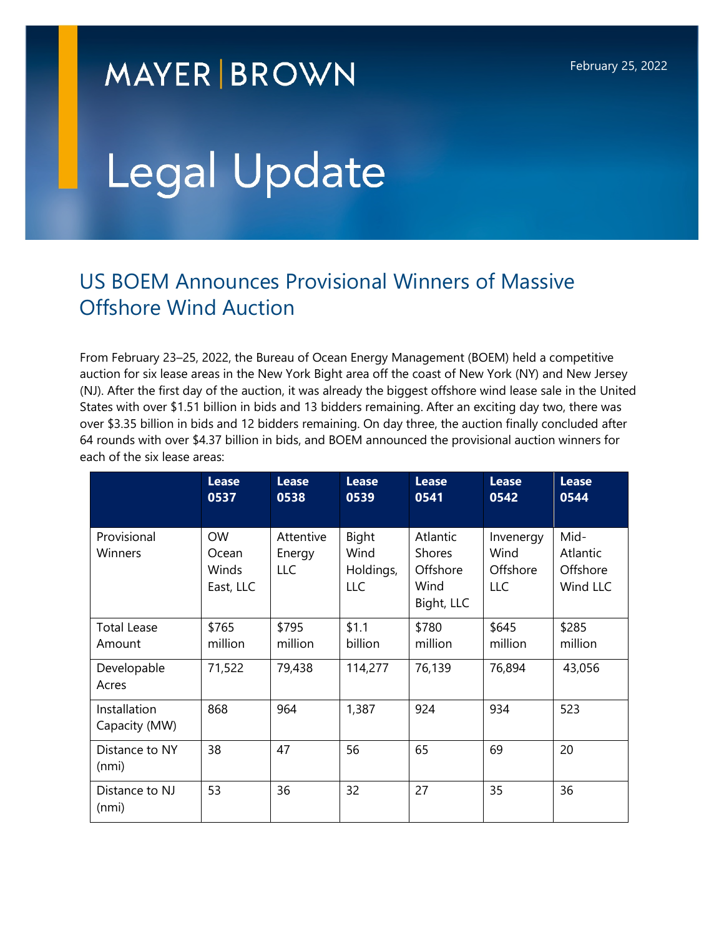## **MAYER BROWN**

# Legal Update

### US BOEM Announces Provisional Winners of Massive Offshore Wind Auction

From February 23–25, 2022, the Bureau of Ocean Energy Management (BOEM) held a competitive auction for six lease areas in the New York Bight area off the coast of New York (NY) and New Jersey (NJ). After the first day of the auction, it was already the biggest offshore wind lease sale in the United States with over \$1.51 billion in bids and 13 bidders remaining. After an exciting day two, there was over \$3.35 billion in bids and 12 bidders remaining. On day three, the auction finally concluded after 64 rounds with over \$4.37 billion in bids, and BOEM announced the provisional auction winners for each of the six lease areas:

|                               | <b>Lease</b><br>0537                     | <b>Lease</b><br>0538       | <b>Lease</b><br>0539              | <b>Lease</b><br>0541                                        | <b>Lease</b><br>0542                 | <b>Lease</b><br>0544                     |
|-------------------------------|------------------------------------------|----------------------------|-----------------------------------|-------------------------------------------------------------|--------------------------------------|------------------------------------------|
| Provisional<br>Winners        | <b>OW</b><br>Ocean<br>Winds<br>East, LLC | Attentive<br>Energy<br>LLC | Bight<br>Wind<br>Holdings,<br>LLC | Atlantic<br><b>Shores</b><br>Offshore<br>Wind<br>Bight, LLC | Invenergy<br>Wind<br>Offshore<br>LLC | Mid-<br>Atlantic<br>Offshore<br>Wind LLC |
| <b>Total Lease</b><br>Amount  | \$765<br>million                         | \$795<br>million           | \$1.1<br>billion                  | \$780<br>million                                            | \$645<br>million                     | \$285<br>million                         |
| Developable<br>Acres          | 71,522                                   | 79,438                     | 114,277                           | 76,139                                                      | 76,894                               | 43,056                                   |
| Installation<br>Capacity (MW) | 868                                      | 964                        | 1,387                             | 924                                                         | 934                                  | 523                                      |
| Distance to NY<br>(nmi)       | 38                                       | 47                         | 56                                | 65                                                          | 69                                   | 20                                       |
| Distance to NJ<br>(nmi)       | 53                                       | 36                         | 32                                | 27                                                          | 35                                   | 36                                       |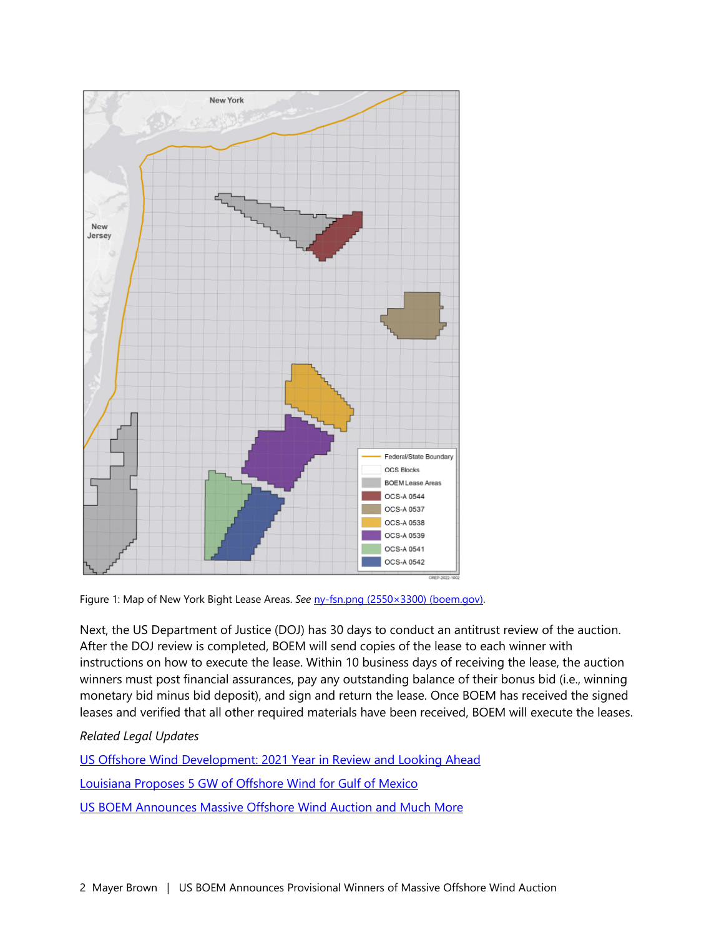

Figure 1: Map of New York Bight Lease Areas. See [ny-fsn.png \(2550×3300\) \(boem.gov\).](https://www.boem.gov/sites/default/files/images/ny-fsn.png)

Next, the US Department of Justice (DOJ) has 30 days to conduct an antitrust review of the auction. After the DOJ review is completed, BOEM will send copies of the lease to each winner with instructions on how to execute the lease. Within 10 business days of receiving the lease, the auction winners must post financial assurances, pay any outstanding balance of their bonus bid (i.e., winning monetary bid minus bid deposit), and sign and return the lease. Once BOEM has received the signed leases and verified that all other required materials have been received, BOEM will execute the leases.

#### *Related Legal Updates*

[US Offshore Wind Development: 2021 Year in Review and Looking Ahead](https://www.mayerbrown.com/en/perspectives-events/publications/2022/02/us-offshore-wind-development-2021-year-in-review-and-looking-ahead) 

[Louisiana Proposes 5 GW of Offshore Wind for Gulf of Mexico](https://www.mayerbrown.com/en/perspectives-events/publications/2022/02/louisiana-proposes-5-gw-of-offshore-wind-for-gulf-of-mexico) 

[US BOEM Announces Massive Offshore Wind Auction and Much More](https://www.mayerbrown.com/en/perspectives-events/publications/2022/01/us-boem-announces-massive-offshore-wind-auction-and-much-more)